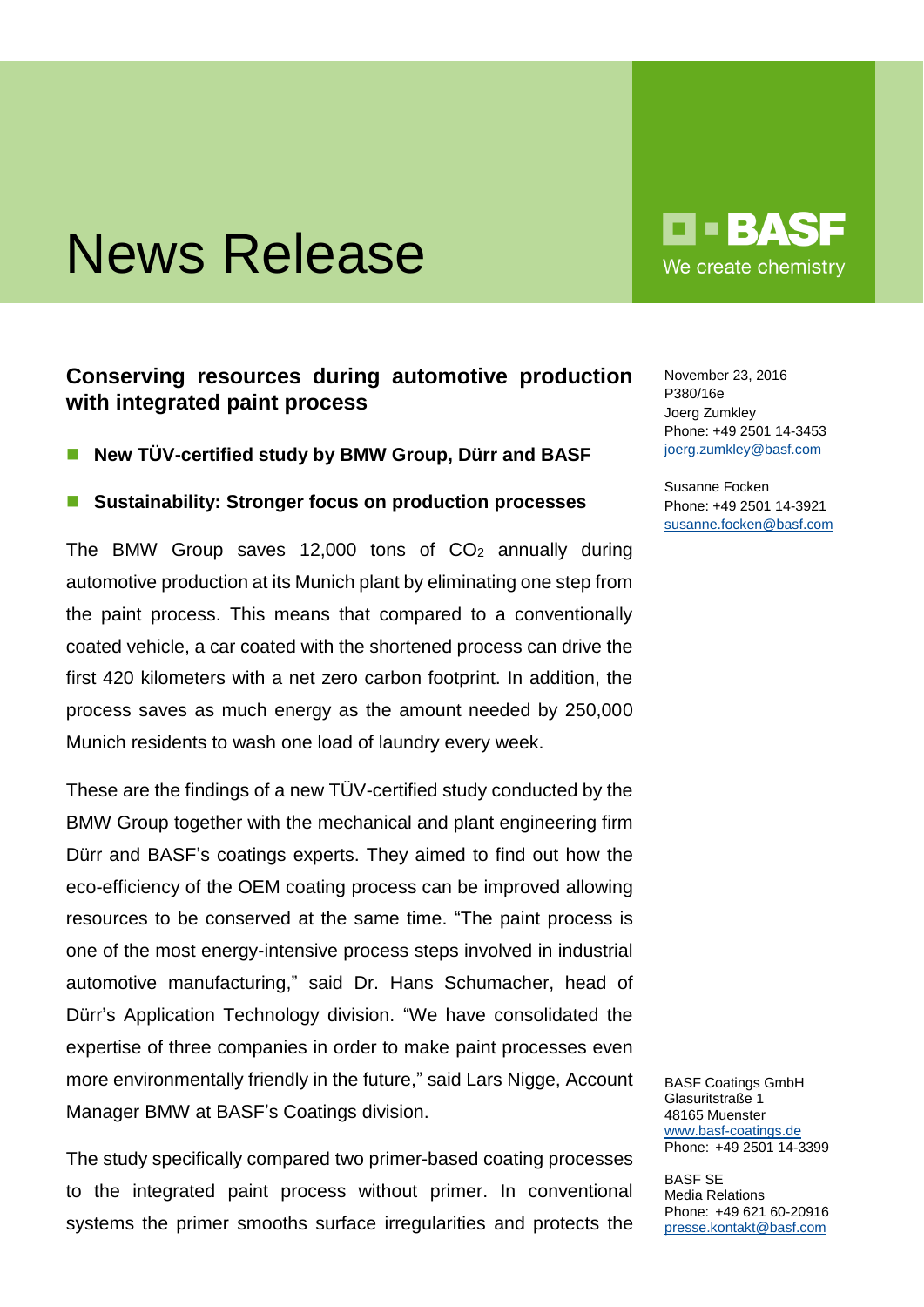# News Release

## **Conserving resources during automotive production with integrated paint process**

- **New TÜV-certified study by BMW Group, Dürr and BASF**
- **Sustainability: Stronger focus on production processes**

The BMW Group saves 12,000 tons of  $CO<sub>2</sub>$  annually during automotive production at its Munich plant by eliminating one step from the paint process. This means that compared to a conventionally coated vehicle, a car coated with the shortened process can drive the first 420 kilometers with a net zero carbon footprint. In addition, the process saves as much energy as the amount needed by 250,000 Munich residents to wash one load of laundry every week.

These are the findings of a new TÜV-certified study conducted by the BMW Group together with the mechanical and plant engineering firm Dürr and BASF's coatings experts. They aimed to find out how the eco-efficiency of the OEM coating process can be improved allowing resources to be conserved at the same time. "The paint process is one of the most energy-intensive process steps involved in industrial automotive manufacturing," said Dr. Hans Schumacher, head of Dürr's Application Technology division. "We have consolidated the expertise of three companies in order to make paint processes even more environmentally friendly in the future," said Lars Nigge, Account Manager BMW at BASF's Coatings division.

The study specifically compared two primer-based coating processes to the integrated paint process without primer. In conventional systems the primer smooths surface irregularities and protects the

**TERAS** We create chemistry

November 23, 2016 P380/16e Joerg Zumkley Phone: +49 2501 14-3453 [joerg.zumkley@basf.com](mailto:joerg.zumkley@basf.com)

Susanne Focken Phone: +49 2501 14-3921 [susanne.focken@basf.com](mailto:susanne.focken@basf.com)

BASF Coatings GmbH Glasuritstraße 1 48165 Muenster [www.basf-coatings.de](http://www.basf-coatings.de/) Phone: +49 2501 14-3399

BASF SE Media Relations Phone: +49 621 60-20916 [presse.kontakt@basf.com](mailto:presse.kontakt@basf.com)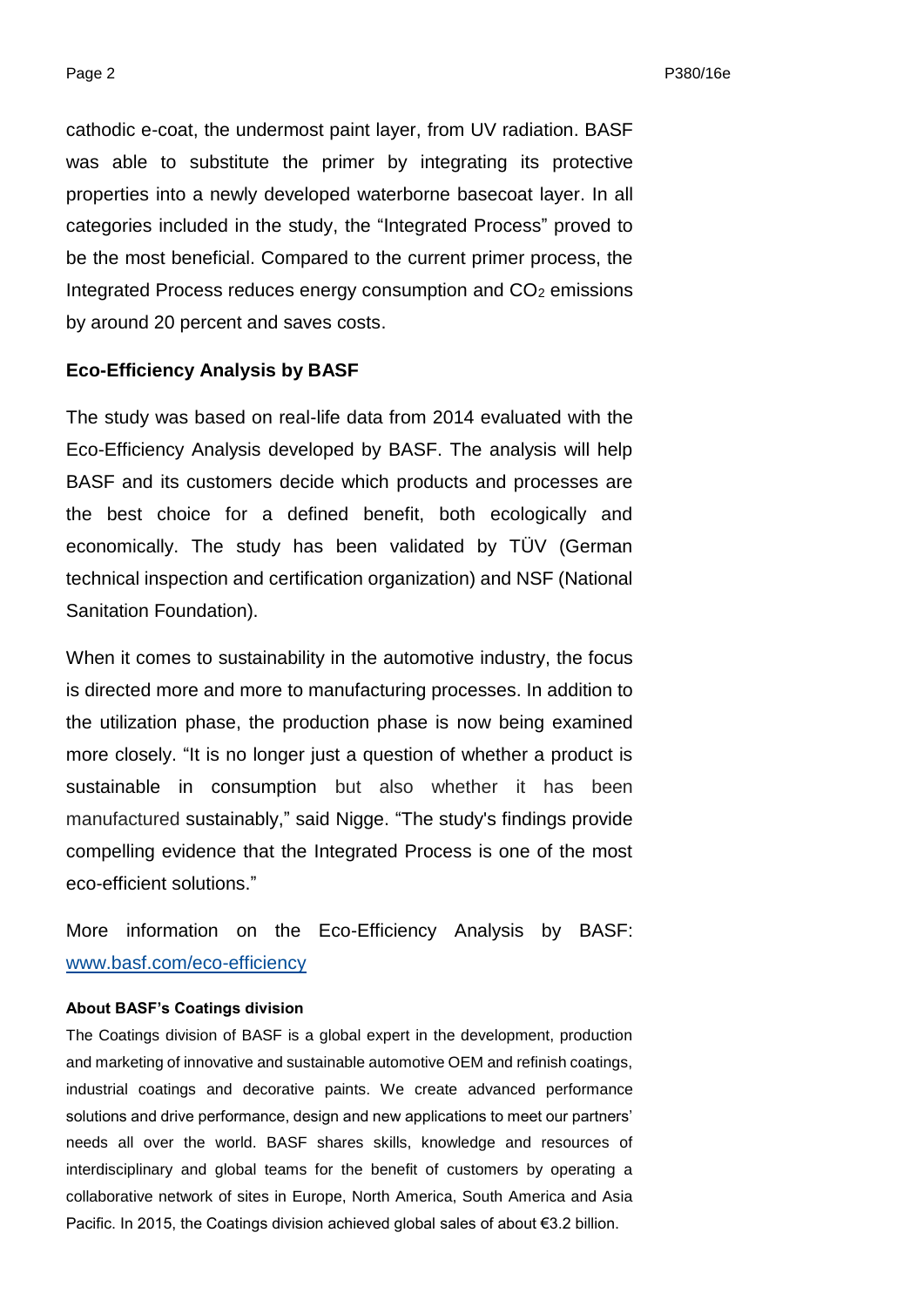cathodic e-coat, the undermost paint layer, from UV radiation. BASF was able to substitute the primer by integrating its protective properties into a newly developed waterborne basecoat layer. In all categories included in the study, the "Integrated Process" proved to be the most beneficial. Compared to the current primer process, the Integrated Process reduces energy consumption and CO<sup>2</sup> emissions by around 20 percent and saves costs.

### **Eco-Efficiency Analysis by BASF**

The study was based on real-life data from 2014 evaluated with the Eco-Efficiency Analysis developed by BASF. The analysis will help BASF and its customers decide which products and processes are the best choice for a defined benefit, both ecologically and economically. The study has been validated by TÜV (German technical inspection and certification organization) and NSF (National Sanitation Foundation).

When it comes to sustainability in the automotive industry, the focus is directed more and more to manufacturing processes. In addition to the utilization phase, the production phase is now being examined more closely. "It is no longer just a question of whether a product is sustainable in consumption but also whether it has been manufactured sustainably," said Nigge. "The study's findings provide compelling evidence that the Integrated Process is one of the most eco-efficient solutions."

More information on the Eco-Efficiency Analysis by BASF: [www.basf.com/eco-efficiency](http://www.basf.com/eco-efficiency)

#### **About BASF's Coatings division**

The Coatings division of BASF is a global expert in the development, production and marketing of innovative and sustainable automotive OEM and refinish coatings, industrial coatings and decorative paints. We create advanced performance solutions and drive performance, design and new applications to meet our partners' needs all over the world. BASF shares skills, knowledge and resources of interdisciplinary and global teams for the benefit of customers by operating a collaborative network of sites in Europe, North America, South America and Asia Pacific. In 2015, the Coatings division achieved global sales of about €3.2 billion.